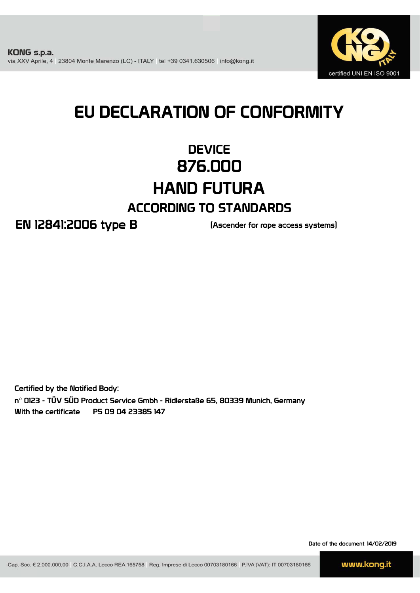

# EU DECLARATION OF CONFORMITY

# **DEVICE** 876.000 HAND FUTURA ACCORDING TO STANDARDS

EN 12841:2006 type B (Ascender for rope access systems)

Certified by the Notified Body: n° 0123 - TÜV SÜD Product Service Gmbh - Ridlerstaße 65, 80339 Munich, Germany With the certificate P5 09 04 23385 147

Date of the document 14/02/2019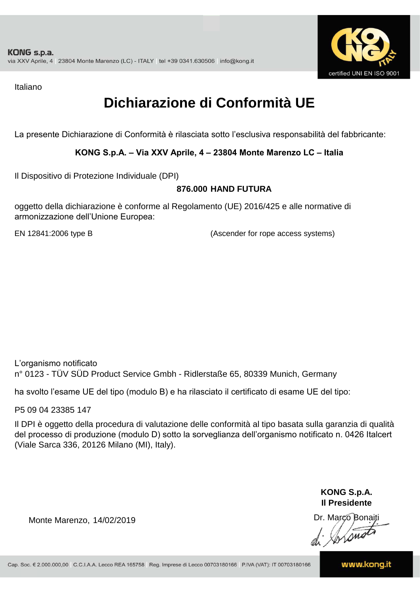

Italiano

# **Dichiarazione di Conformità UE**

La presente Dichiarazione di Conformità è rilasciata sotto l'esclusiva responsabilità del fabbricante:

## **KONG S.p.A. – Via XXV Aprile, 4 – 23804 Monte Marenzo LC – Italia**

Il Dispositivo di Protezione Individuale (DPI)

## **876.000 HAND FUTURA**

oggetto della dichiarazione è conforme al Regolamento (UE) 2016/425 e alle normative di armonizzazione dell'Unione Europea:

EN 12841:2006 type B

(Ascender for rope access systems)

L'organismo notificato n° 0123 - TÜV SÜD Product Service Gmbh - Ridlerstaße 65, 80339 Munich, Germany

ha svolto l'esame UE del tipo (modulo B) e ha rilasciato il certificato di esame UE del tipo:

P5 09 04 23385 147

Il DPI è oggetto della procedura di valutazione delle conformità al tipo basata sulla garanzia di qualità del processo di produzione (modulo D) sotto la sorveglianza dell'organismo notificato n. 0426 Italcert (Viale Sarca 336, 20126 Milano (MI), Italy).

> **KONG S.p.A. Il Presidente**

Monte Marenzo, 14/02/2019<br>
Monte Marenzo, 14/02/2019<br>
A AMALA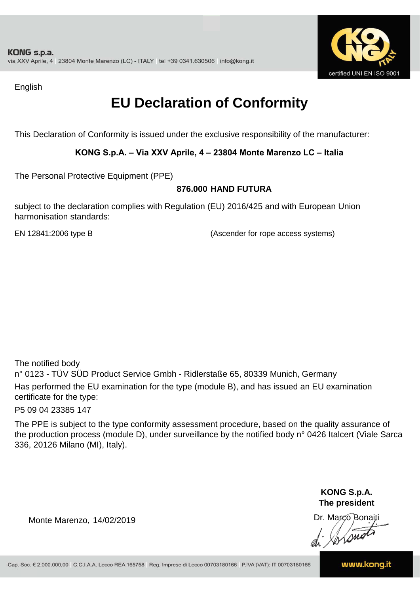

English

# **EU Declaration of Conformity**

This Declaration of Conformity is issued under the exclusive responsibility of the manufacturer:

## **KONG S.p.A. – Via XXV Aprile, 4 – 23804 Monte Marenzo LC – Italia**

The Personal Protective Equipment (PPE)

#### **876.000 HAND FUTURA**

subject to the declaration complies with Regulation (EU) 2016/425 and with European Union harmonisation standards:

EN 12841:2006 type B (Ascender for rope access systems)

The notified body

n° 0123 - TÜV SÜD Product Service Gmbh - Ridlerstaße 65, 80339 Munich, Germany Has performed the EU examination for the type (module B), and has issued an EU examination certificate for the type:

P5 09 04 23385 147

The PPE is subject to the type conformity assessment procedure, based on the quality assurance of the production process (module D), under surveillance by the notified body n° 0426 Italcert (Viale Sarca 336, 20126 Milano (MI), Italy).

> **KONG S.p.A. The president**

Dr. Marco Bonaiti di Aromor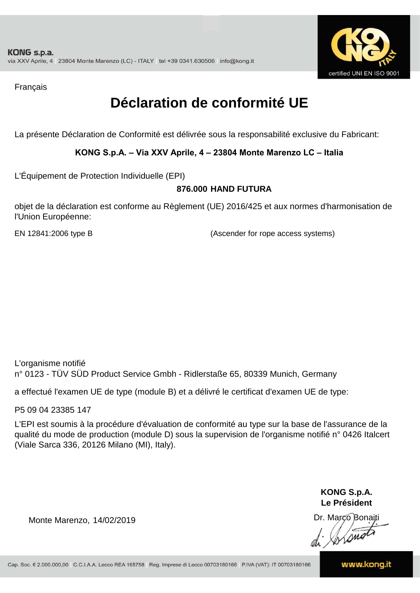

Français

# **Déclaration de conformité UE**

La présente Déclaration de Conformité est délivrée sous la responsabilité exclusive du Fabricant:

## **KONG S.p.A. – Via XXV Aprile, 4 – 23804 Monte Marenzo LC – Italia**

L'Équipement de Protection Individuelle (EPI)

#### **876.000 HAND FUTURA**

objet de la déclaration est conforme au Règlement (UE) 2016/425 et aux normes d'harmonisation de l'Union Européenne:

EN 12841:2006 type B (Ascender for rope access systems)

L'organisme notifié n° 0123 - TÜV SÜD Product Service Gmbh - Ridlerstaße 65, 80339 Munich, Germany

a effectué l'examen UE de type (module B) et a délivré le certificat d'examen UE de type:

P5 09 04 23385 147

L'EPI est soumis à la procédure d'évaluation de conformité au type sur la base de l'assurance de la qualité du mode de production (module D) sous la supervision de l'organisme notifié n° 0426 Italcert (Viale Sarca 336, 20126 Milano (MI), Italy).

> **KONG S.p.A. Le Président**

Dr. Marco Bonaiti di Aromor

Monte Marenzo, 14/02/2019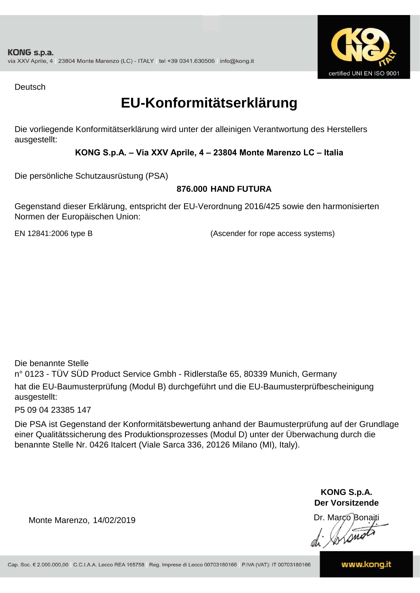

Deutsch

## **EU-Konformitätserklärung**

Die vorliegende Konformitätserklärung wird unter der alleinigen Verantwortung des Herstellers ausgestellt:

## **KONG S.p.A. – Via XXV Aprile, 4 – 23804 Monte Marenzo LC – Italia**

Die persönliche Schutzausrüstung (PSA)

## **876.000 HAND FUTURA**

Gegenstand dieser Erklärung, entspricht der EU-Verordnung 2016/425 sowie den harmonisierten Normen der Europäischen Union:

EN 12841:2006 type B (Ascender for rope access systems)

Die benannte Stelle

n° 0123 - TÜV SÜD Product Service Gmbh - Ridlerstaße 65, 80339 Munich, Germany hat die EU-Baumusterprüfung (Modul B) durchgeführt und die EU-Baumusterprüfbescheinigung ausgestellt:

P5 09 04 23385 147

Die PSA ist Gegenstand der Konformitätsbewertung anhand der Baumusterprüfung auf der Grundlage einer Qualitätssicherung des Produktionsprozesses (Modul D) unter der Überwachung durch die benannte Stelle Nr. 0426 Italcert (Viale Sarca 336, 20126 Milano (MI), Italy).

> **KONG S.p.A. Der Vorsitzende**

Dr. Marco Bonaiti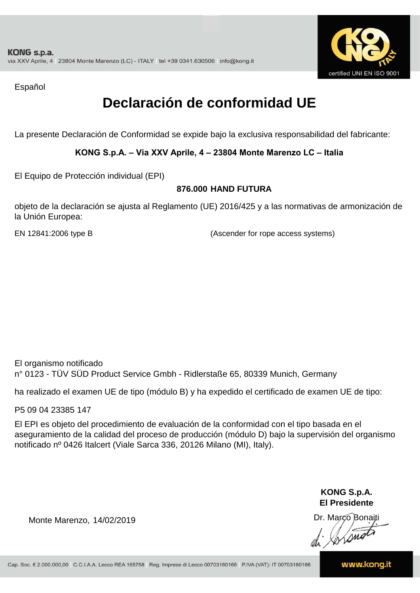

Español

# **Declaración de conformidad UE**

La presente Declaración de Conformidad se expide bajo la exclusiva responsabilidad del fabricante:

#### **KONG S.p.A. – Via XXV Aprile, 4 – 23804 Monte Marenzo LC – Italia**

El Equipo de Protección individual (EPI)

#### **876.000 HAND FUTURA**

objeto de la declaración se ajusta al Reglamento (UE) 2016/425 y a las normativas de armonización de la Unión Europea:

EN 12841:2006 type B

(Ascender for rope access systems)

El organismo notificado n° 0123 - TÜV SÜD Product Service Gmbh - Ridlerstaße 65, 80339 Munich, Germany

ha realizado el examen UE de tipo (módulo B) y ha expedido el certificado de examen UE de tipo:

P5 09 04 23385 147

El EPI es objeto del procedimiento de evaluación de la conformidad con el tipo basada en el aseguramiento de la calidad del proceso de producción (módulo D) bajo la supervisión del organismo notificado nº 0426 Italcert (Viale Sarca 336, 20126 Milano (MI), Italy).

> **KONG S.p.A. El Presidente**

Dr. Marco Bonaiti di Aromor

Monte Marenzo, 14/02/2019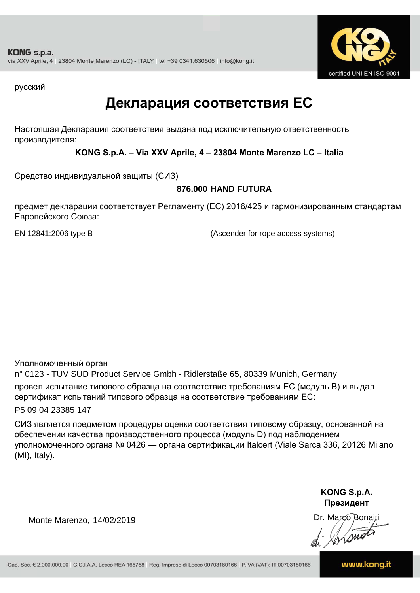

русский

## **Декларация соответствия ЕС**

Настоящая Декларация соответствия выдана под исключительную ответственность производителя:

**KONG S.p.A. – Via XXV Aprile, 4 – 23804 Monte Marenzo LC – Italia**

Средство индивидуальной защиты (СИЗ)

## **876.000 HAND FUTURA**

предмет декларации соответствует Регламенту (ЕС) 2016/425 и гармонизированным стандартам Европейского Союза:

EN 12841:2006 type B (Ascender for rope access systems)

Уполномоченный орган

n° 0123 - TÜV SÜD Product Service Gmbh - Ridlerstaße 65, 80339 Munich, Germany провел испытание типового образца на соответствие требованиям ЕС (модуль B) и выдал сертификат испытаний типового образца на соответствие требованиям ЕС:

P5 09 04 23385 147

СИЗ является предметом процедуры оценки соответствия типовому образцу, основанной на обеспечении качества производственного процесса (модуль D) под наблюдением уполномоченного органа № 0426 — органа сертификации Italcert (Viale Sarca 336, 20126 Milano (MI), Italy).

> **KONG S.p.A. Президент**

Dr. Marco Bonaiti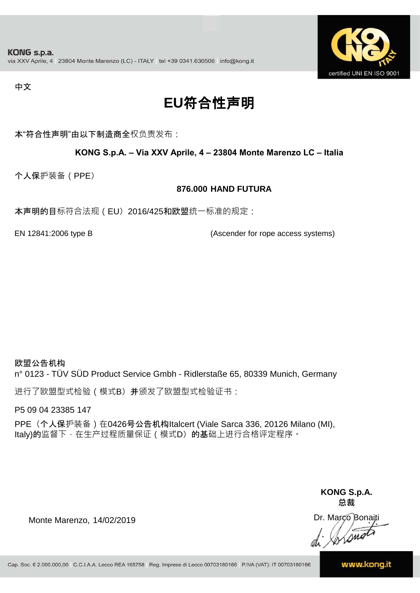

#### 中文

# **EU**符合性声明

本"符合性声明"由以下制造商全权负责发布:

#### **KONG S.p.A. – Via XXV Aprile, 4 – 23804 Monte Marenzo LC – Italia**

个人保护装备(PPE)

#### **876.000 HAND FUTURA**

本声明的目标符合法规(EU) 2016/425和欧盟统一标准的规定:

EN 12841:2006 type B (Ascender for rope access systems)

欧盟公告机构

n° 0123 - TÜV SÜD Product Service Gmbh - Ridlerstaße 65, 80339 Munich, Germany

进行了欧盟型式检验(模式B) 并颁发了欧盟型式检验证书:

P5 09 04 23385 147

PPE (个人保护装备) 在0426号公告机构Italcert (Viale Sarca 336, 20126 Milano (MI), Italy)的监督下, 在生产过程质量保证 ( 模式D) 的基础上进行合格评定程序。

> **KONG S.p.A. 总裁**

Dr. Marco Bonaiti di Simon

Monte Marenzo, 14/02/2019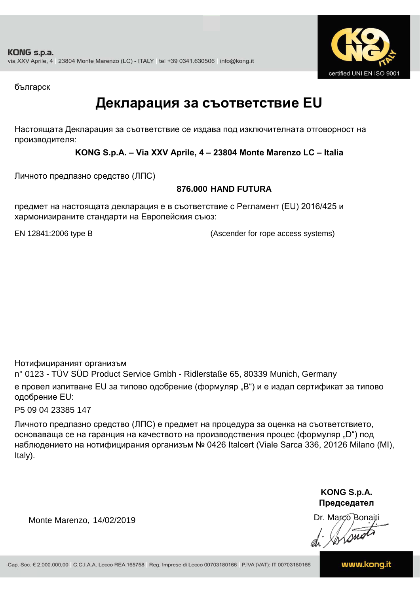

българск

## **Декларация за съответствие EU**

Настоящата Декларация за съответствие се издава под изключителната отговорност на производителя:

**KONG S.p.A. – Via XXV Aprile, 4 – 23804 Monte Marenzo LC – Italia**

Личното предпазно средство (ЛПС)

## **876.000 HAND FUTURA**

предмет на настоящата декларация е в съответствие с Регламент (ЕU) 2016/425 и хармонизираните стандарти на Европейския съюз:

EN 12841:2006 type B (Ascender for rope access systems)

Нотифицираният организъм

n° 0123 - TÜV SÜD Product Service Gmbh - Ridlerstaße 65, 80339 Munich, Germany е провел изпитване EU за типово одобрение (формуляр "B") и е издал сертификат за типово одобрение ЕU:

P5 09 04 23385 147

Личното предпазно средство (ЛПС) е предмет на процедура за оценка на съответствието, основаваща се на гаранция на качеството на производствения процес (формуляр "D") под наблюдението на нотифицирания организъм № 0426 Italcert (Viale Sarca 336, 20126 Milano (MI), Italy).

> **KONG S.p.A. Председател**

Dr. Marco Bonaiti di Arono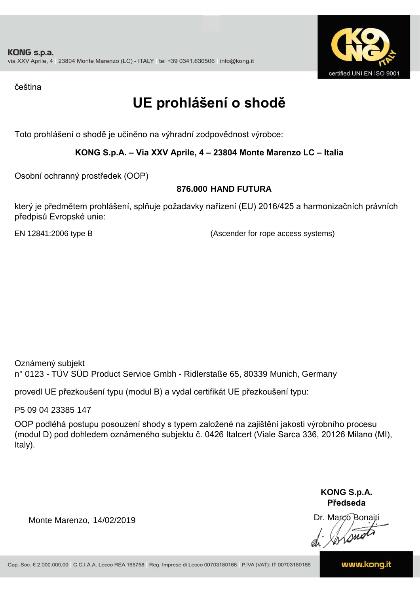

čeština

# **UE prohlášení o shodě**

Toto prohlášení o shodě je učiněno na výhradní zodpovědnost výrobce:

## **KONG S.p.A. – Via XXV Aprile, 4 – 23804 Monte Marenzo LC – Italia**

Osobní ochranný prostředek (OOP)

## **876.000 HAND FUTURA**

který je předmětem prohlášení, splňuje požadavky nařízení (EU) 2016/425 a harmonizačních právních předpisů Evropské unie:

EN 12841:2006 type B (Ascender for rope access systems)

Oznámený subjekt n° 0123 - TÜV SÜD Product Service Gmbh - Ridlerstaße 65, 80339 Munich, Germany

provedl UE přezkoušení typu (modul B) a vydal certifikát UE přezkoušení typu:

P5 09 04 23385 147

OOP podléhá postupu posouzení shody s typem založené na zajištění jakosti výrobního procesu (modul D) pod dohledem oznámeného subjektu č. 0426 Italcert (Viale Sarca 336, 20126 Milano (MI), Italy).

> **KONG S.p.A. Předseda**

Dr. Marco Bonaiti di Simon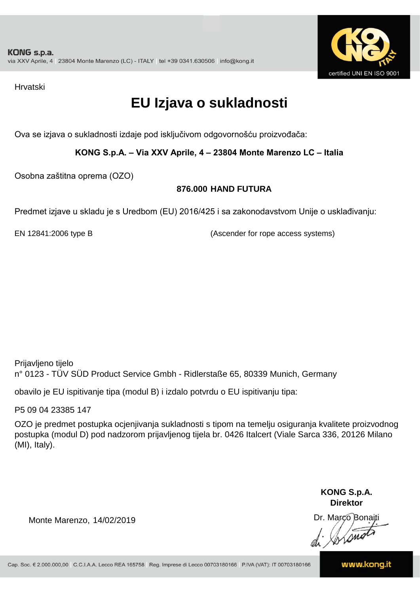

Hrvatski

# **EU Izjava o sukladnosti**

Ova se izjava o sukladnosti izdaje pod isključivom odgovornošću proizvođača:

**KONG S.p.A. – Via XXV Aprile, 4 – 23804 Monte Marenzo LC – Italia**

Osobna zaštitna oprema (OZO)

## **876.000 HAND FUTURA**

Predmet izjave u skladu je s Uredbom (EU) 2016/425 i sa zakonodavstvom Unije o usklađivanju:

EN 12841:2006 type B (Ascender for rope access systems)

Prijavljeno tijelo n° 0123 - TÜV SÜD Product Service Gmbh - Ridlerstaße 65, 80339 Munich, Germany

obavilo je EU ispitivanje tipa (modul B) i izdalo potvrdu o EU ispitivanju tipa:

P5 09 04 23385 147

OZO je predmet postupka ocjenjivanja sukladnosti s tipom na temelju osiguranja kvalitete proizvodnog postupka (modul D) pod nadzorom prijavljenog tijela br. 0426 Italcert (Viale Sarca 336, 20126 Milano (MI), Italy).

> **KONG S.p.A. Direktor**

Dr. Marco Bonaiti di Stono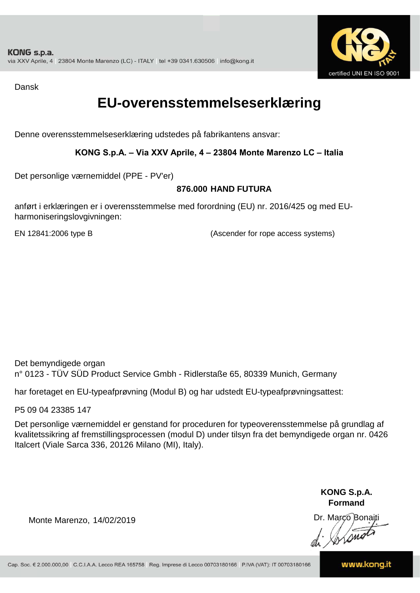

Dansk

## **EU-overensstemmelseserklæring**

Denne overensstemmelseserklæring udstedes på fabrikantens ansvar:

## **KONG S.p.A. – Via XXV Aprile, 4 – 23804 Monte Marenzo LC – Italia**

Det personlige værnemiddel (PPE - PV'er)

## **876.000 HAND FUTURA**

anført i erklæringen er i overensstemmelse med forordning (EU) nr. 2016/425 og med EUharmoniseringslovgivningen:

EN 12841:2006 type B (Ascender for rope access systems)

Det bemyndigede organ n° 0123 - TÜV SÜD Product Service Gmbh - Ridlerstaße 65, 80339 Munich, Germany

har foretaget en EU-typeafprøvning (Modul B) og har udstedt EU-typeafprøvningsattest:

P5 09 04 23385 147

Det personlige værnemiddel er genstand for proceduren for typeoverensstemmelse på grundlag af kvalitetssikring af fremstillingsprocessen (modul D) under tilsyn fra det bemyndigede organ nr. 0426 Italcert (Viale Sarca 336, 20126 Milano (MI), Italy).

> **KONG S.p.A. Formand**

Dr. Marco Bonaiti di Aromor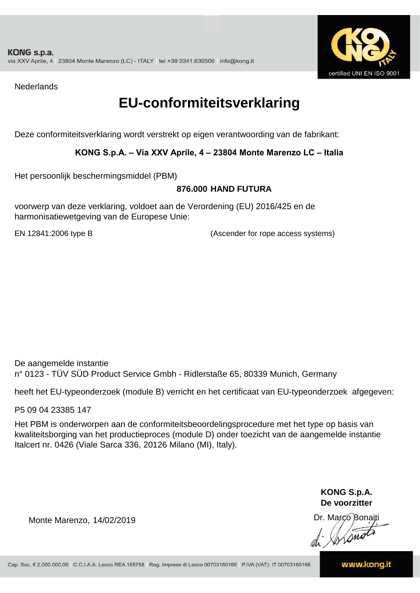

**Nederlands** 

## **EU-conformiteitsverklaring**

Deze conformiteitsverklaring wordt verstrekt op eigen verantwoording van de fabrikant:

## **KONG S.p.A. – Via XXV Aprile, 4 – 23804 Monte Marenzo LC – Italia**

Het persoonlijk beschermingsmiddel (PBM)

#### **876.000 HAND FUTURA**

voorwerp van deze verklaring, voldoet aan de Verordening (EU) 2016/425 en de harmonisatiewetgeving van de Europese Unie:

EN 12841:2006 type B (Ascender for rope access systems)

De aangemelde instantie n° 0123 - TÜV SÜD Product Service Gmbh - Ridlerstaße 65, 80339 Munich, Germany

heeft het EU-typeonderzoek (module B) verricht en het certificaat van EU-typeonderzoek afgegeven:

P5 09 04 23385 147

Het PBM is onderworpen aan de conformiteitsbeoordelingsprocedure met het type op basis van kwaliteitsborging van het productieproces (module D) onder toezicht van de aangemelde instantie Italcert nr. 0426 (Viale Sarca 336, 20126 Milano (MI), Italy).

> **KONG S.p.A. De voorzitter**

Dr. Marco Bonaiti

Monte Marenzo, 14/02/2019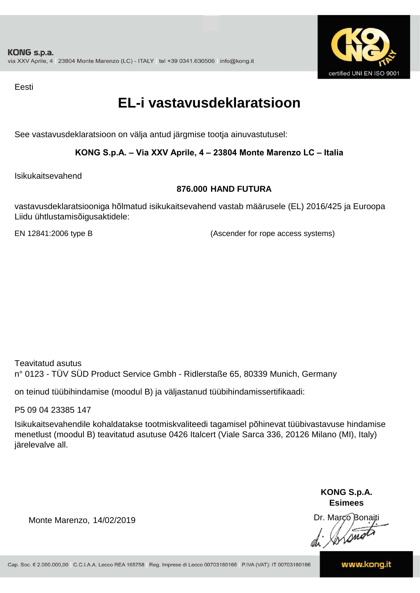

Eesti

# **EL-i vastavusdeklaratsioon**

See vastavusdeklaratsioon on välja antud järgmise tootja ainuvastutusel:

## **KONG S.p.A. – Via XXV Aprile, 4 – 23804 Monte Marenzo LC – Italia**

Isikukaitsevahend

## **876.000 HAND FUTURA**

vastavusdeklaratsiooniga hõlmatud isikukaitsevahend vastab määrusele (EL) 2016/425 ja Euroopa Liidu ühtlustamisõigusaktidele:

EN 12841:2006 type B (Ascender for rope access systems)

Teavitatud asutus n° 0123 - TÜV SÜD Product Service Gmbh - Ridlerstaße 65, 80339 Munich, Germany

on teinud tüübihindamise (moodul B) ja väljastanud tüübihindamissertifikaadi:

P5 09 04 23385 147

Isikukaitsevahendile kohaldatakse tootmiskvaliteedi tagamisel põhinevat tüübivastavuse hindamise menetlust (moodul B) teavitatud asutuse 0426 Italcert (Viale Sarca 336, 20126 Milano (MI), Italy) järelevalve all.

> **KONG S.p.A. Esimees**

Dr. Marco Bonaiti di Stano

Monte Marenzo, 14/02/2019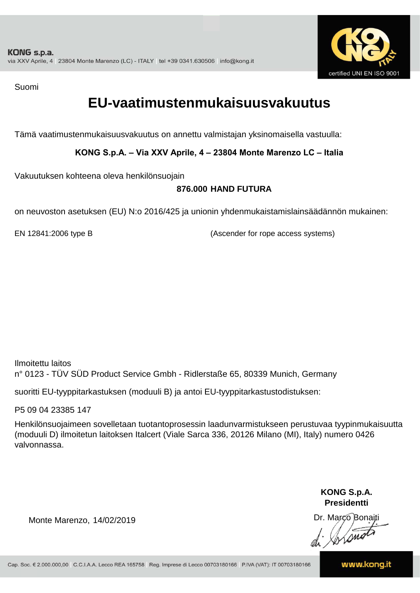

Suomi

## **EU-vaatimustenmukaisuusvakuutus**

Tämä vaatimustenmukaisuusvakuutus on annettu valmistajan yksinomaisella vastuulla:

**KONG S.p.A. – Via XXV Aprile, 4 – 23804 Monte Marenzo LC – Italia**

Vakuutuksen kohteena oleva henkilönsuojain

## **876.000 HAND FUTURA**

on neuvoston asetuksen (EU) N:o 2016/425 ja unionin yhdenmukaistamislainsäädännön mukainen:

EN 12841:2006 type B (Ascender for rope access systems)

Ilmoitettu laitos n° 0123 - TÜV SÜD Product Service Gmbh - Ridlerstaße 65, 80339 Munich, Germany

suoritti EU-tyyppitarkastuksen (moduuli B) ja antoi EU-tyyppitarkastustodistuksen:

P5 09 04 23385 147

Henkilönsuojaimeen sovelletaan tuotantoprosessin laadunvarmistukseen perustuvaa tyypinmukaisuutta (moduuli D) ilmoitetun laitoksen Italcert (Viale Sarca 336, 20126 Milano (MI), Italy) numero 0426 valvonnassa.

> **KONG S.p.A. Presidentti**

Dr. Marco Bonaiti di Simon

Monte Marenzo, 14/02/2019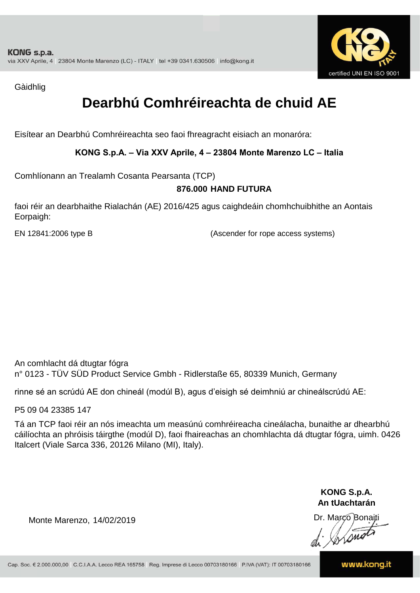

Gàidhlig

# **Dearbhú Comhréireachta de chuid AE**

Eisítear an Dearbhú Comhréireachta seo faoi fhreagracht eisiach an monaróra:

**KONG S.p.A. – Via XXV Aprile, 4 – 23804 Monte Marenzo LC – Italia**

Comhlíonann an Trealamh Cosanta Pearsanta (TCP)

## **876.000 HAND FUTURA**

faoi réir an dearbhaithe Rialachán (AE) 2016/425 agus caighdeáin chomhchuibhithe an Aontais Eorpaigh:

EN 12841:2006 type B (Ascender for rope access systems)

An comhlacht dá dtugtar fógra n° 0123 - TÜV SÜD Product Service Gmbh - Ridlerstaße 65, 80339 Munich, Germany

rinne sé an scrúdú AE don chineál (modúl B), agus d'eisigh sé deimhniú ar chineálscrúdú AE:

P5 09 04 23385 147

Tá an TCP faoi réir an nós imeachta um measúnú comhréireacha cineálacha, bunaithe ar dhearbhú cáilíochta an phróisis táirgthe (modúl D), faoi fhaireachas an chomhlachta dá dtugtar fógra, uimh. 0426 Italcert (Viale Sarca 336, 20126 Milano (MI), Italy).

> **KONG S.p.A. An tUachtarán**

Dr. Marco Bonaiti di Stono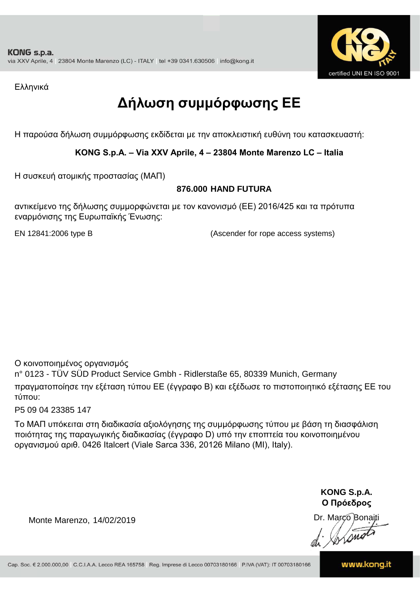

Ελληνικά

# **Δήλωση συμμόρφωσης ΕE**

Η παρούσα δήλωση συμμόρφωσης εκδίδεται με την αποκλειστική ευθύνη του κατασκευαστή:

## **KONG S.p.A. – Via XXV Aprile, 4 – 23804 Monte Marenzo LC – Italia**

Η συσκευή ατομικής προστασίας (ΜΑΠ)

## **876.000 HAND FUTURA**

αντικείμενο της δήλωσης συμμορφώνεται με τον κανονισμό (ΕΕ) 2016/425 και τα πρότυπα εναρμόνισης της Ευρωπαϊκής Ένωσης:

EN 12841:2006 type B (Ascender for rope access systems)

Ο κοινοποιημένος οργανισμός

n° 0123 - TÜV SÜD Product Service Gmbh - Ridlerstaße 65, 80339 Munich, Germany πραγματοποίησε την εξέταση τύπου ΕΕ (έγγραφο Β) και εξέδωσε το πιστοποιητικό εξέτασης ΕΕ του τύπου:

P5 09 04 23385 147

Το ΜΑΠ υπόκειται στη διαδικασία αξιολόγησης της συμμόρφωσης τύπου με βάση τη διασφάλιση ποιότητας της παραγωγικής διαδικασίας (έγγραφο D) υπό την εποπτεία του κοινοποιημένου οργανισμού αριθ. 0426 Italcert (Viale Sarca 336, 20126 Milano (MI), Italy).

> **KONG S.p.A. Ο Πρόεδρος**

Dr. Marco Bonaiti di Stonom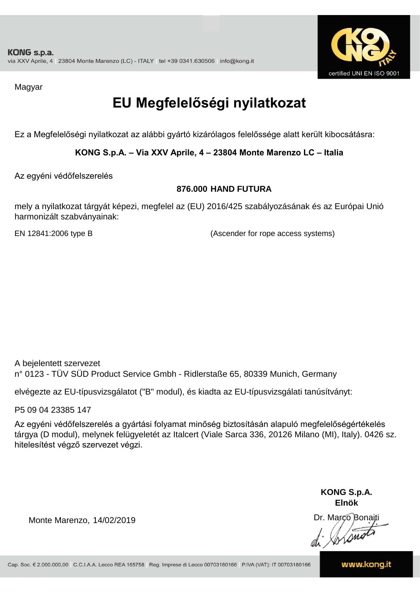

Magyar

# **EU Megfelelőségi nyilatkozat**

Ez a Megfelelőségi nyilatkozat az alábbi gyártó kizárólagos felelőssége alatt került kibocsátásra:

**KONG S.p.A. – Via XXV Aprile, 4 – 23804 Monte Marenzo LC – Italia**

Az egyéni védőfelszerelés

#### **876.000 HAND FUTURA**

mely a nyilatkozat tárgyát képezi, megfelel az (EU) 2016/425 szabályozásának és az Európai Unió harmonizált szabványainak:

EN 12841:2006 type B (Ascender for rope access systems)

A bejelentett szervezet n° 0123 - TÜV SÜD Product Service Gmbh - Ridlerstaße 65, 80339 Munich, Germany

elvégezte az EU-típusvizsgálatot ("B" modul), és kiadta az EU-típusvizsgálati tanúsítványt:

P5 09 04 23385 147

Az egyéni védőfelszerelés a gyártási folyamat minőség biztosításán alapuló megfelelőségértékelés tárgya (D modul), melynek felügyeletét az Italcert (Viale Sarca 336, 20126 Milano (MI), Italy). 0426 sz. hitelesítést végző szervezet végzi.

> **KONG S.p.A. Elnök**

Dr. Marco Bonaiti di Aromor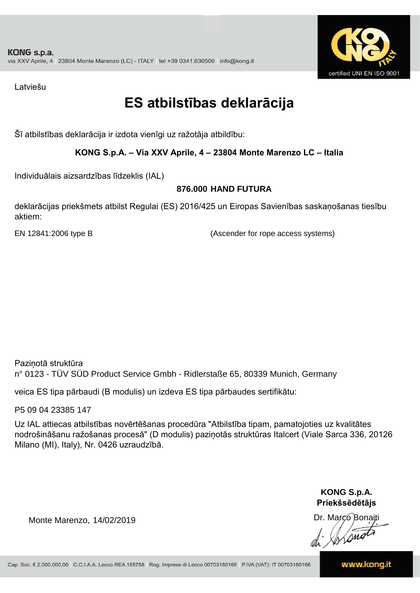

Latviešu

# **ES atbilstības deklarācija**

Šī atbilstības deklarācija ir izdota vienīgi uz ražotāja atbildību:

## **KONG S.p.A. – Via XXV Aprile, 4 – 23804 Monte Marenzo LC – Italia**

Individuālais aizsardzības līdzeklis (IAL)

## **876.000 HAND FUTURA**

deklarācijas priekšmets atbilst Regulai (ES) 2016/425 un Eiropas Savienības saskaņošanas tiesību aktiem:

EN 12841:2006 type B (Ascender for rope access systems)

Paziņotā struktūra n° 0123 - TÜV SÜD Product Service Gmbh - Ridlerstaße 65, 80339 Munich, Germany

veica ES tipa pārbaudi (B modulis) un izdeva ES tipa pārbaudes sertifikātu:

P5 09 04 23385 147

Uz IAL attiecas atbilstības novērtēšanas procedūra "Atbilstība tipam, pamatojoties uz kvalitātes nodrošināšanu ražošanas procesā" (D modulis) paziņotās struktūras Italcert (Viale Sarca 336, 20126 Milano (MI), Italy), Nr. 0426 uzraudzībā.

> **KONG S.p.A. Priekšsēdētājs**

Dr. Marco Bonaiti

Monte Marenzo, 14/02/2019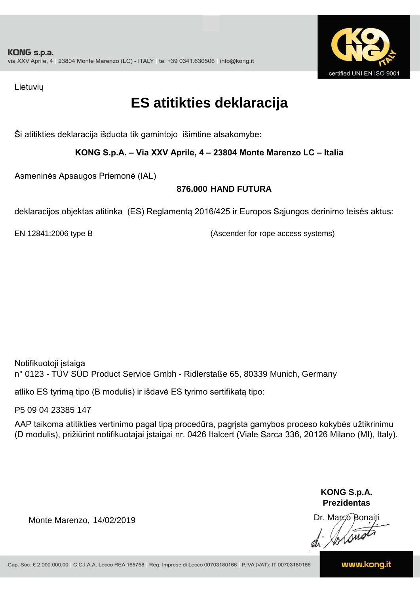

Lietuvių

# **ES atitikties deklaracija**

Ši atitikties deklaracija išduota tik gamintojo išimtine atsakomybe:

**KONG S.p.A. – Via XXV Aprile, 4 – 23804 Monte Marenzo LC – Italia**

Asmeninės Apsaugos Priemonė (IAL)

## **876.000 HAND FUTURA**

deklaracijos objektas atitinka (ES) Reglamentą 2016/425 ir Europos Sąjungos derinimo teisės aktus:

EN 12841:2006 type B (Ascender for rope access systems)

Notifikuotoji įstaiga n° 0123 - TÜV SÜD Product Service Gmbh - Ridlerstaße 65, 80339 Munich, Germany

atliko ES tyrimą tipo (B modulis) ir išdavė ES tyrimo sertifikatą tipo:

P5 09 04 23385 147

AAP taikoma atitikties vertinimo pagal tipą procedūra, pagrįsta gamybos proceso kokybės užtikrinimu (D modulis), prižiūrint notifikuotajai įstaigai nr. 0426 Italcert (Viale Sarca 336, 20126 Milano (MI), Italy).

> **KONG S.p.A. Prezidentas**

Dr. Marco Bonaiti di Stono

Monte Marenzo, 14/02/2019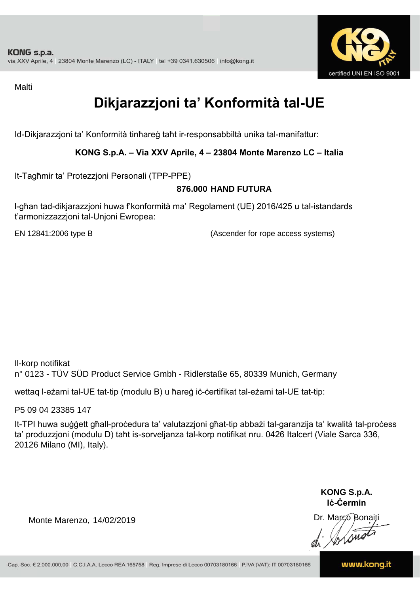

Malti

# **Dikjarazzjoni ta' Konformità tal-UE**

Id-Dikjarazzjoni ta' Konformità tinħareġ taħt ir-responsabbiltà unika tal-manifattur:

## **KONG S.p.A. – Via XXV Aprile, 4 – 23804 Monte Marenzo LC – Italia**

It-Tagħmir ta' Protezzjoni Personali (TPP-PPE)

## **876.000 HAND FUTURA**

l-għan tad-dikjarazzjoni huwa f'konformità ma' Regolament (UE) 2016/425 u tal-istandards t'armonizzazzjoni tal-Unjoni Ewropea:

EN 12841:2006 type B (Ascender for rope access systems)

Il-korp notifikat n° 0123 - TÜV SÜD Product Service Gmbh - Ridlerstaße 65, 80339 Munich, Germany

wettaq l-eżami tal-UE tat-tip (modulu B) u ħareġ iċ-ċertifikat tal-eżami tal-UE tat-tip:

P5 09 04 23385 147

It-TPI huwa suġġett għall-proċedura ta' valutazzjoni għat-tip abbażi tal-garanzija ta' kwalità tal-proċess ta' produzzjoni (modulu D) taħt is-sorveljanza tal-korp notifikat nru. 0426 Italcert (Viale Sarca 336, 20126 Milano (MI), Italy).

> **KONG S.p.A. Iċ-Ċermin**

Dr. Março Bonaiti di Stono

Monte Marenzo, 14/02/2019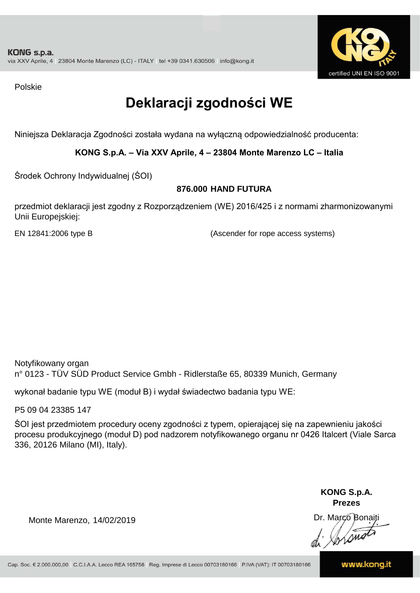

Polskie

# **Deklaracji zgodności WE**

Niniejsza Deklaracja Zgodności została wydana na wyłączną odpowiedzialność producenta:

**KONG S.p.A. – Via XXV Aprile, 4 – 23804 Monte Marenzo LC – Italia**

Środek Ochrony Indywidualnej (ŚOI)

## **876.000 HAND FUTURA**

przedmiot deklaracji jest zgodny z Rozporządzeniem (WE) 2016/425 i z normami zharmonizowanymi Unii Europejskiej:

EN 12841:2006 type B (Ascender for rope access systems)

Notyfikowany organ n° 0123 - TÜV SÜD Product Service Gmbh - Ridlerstaße 65, 80339 Munich, Germany

wykonał badanie typu WE (moduł B) i wydał świadectwo badania typu WE:

P5 09 04 23385 147

ŚOI jest przedmiotem procedury oceny zgodności z typem, opierającej się na zapewnieniu jakości procesu produkcyjnego (moduł D) pod nadzorem notyfikowanego organu nr 0426 Italcert (Viale Sarca 336, 20126 Milano (MI), Italy).

> **KONG S.p.A. Prezes**

Dr. Marco Bonaiti di Arono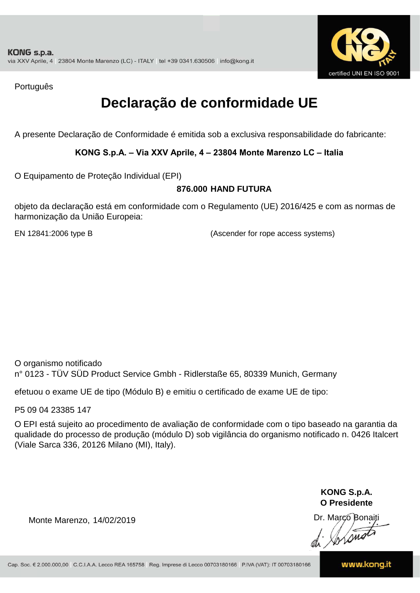

Português

# **Declaração de conformidade UE**

A presente Declaração de Conformidade é emitida sob a exclusiva responsabilidade do fabricante:

## **KONG S.p.A. – Via XXV Aprile, 4 – 23804 Monte Marenzo LC – Italia**

O Equipamento de Proteção Individual (EPI)

## **876.000 HAND FUTURA**

objeto da declaração está em conformidade com o Regulamento (UE) 2016/425 e com as normas de harmonização da União Europeia:

EN 12841:2006 type B (Ascender for rope access systems)

O organismo notificado n° 0123 - TÜV SÜD Product Service Gmbh - Ridlerstaße 65, 80339 Munich, Germany

efetuou o exame UE de tipo (Módulo B) e emitiu o certificado de exame UE de tipo:

P5 09 04 23385 147

O EPI está sujeito ao procedimento de avaliação de conformidade com o tipo baseado na garantia da qualidade do processo de produção (módulo D) sob vigilância do organismo notificado n. 0426 Italcert (Viale Sarca 336, 20126 Milano (MI), Italy).

> **KONG S.p.A. O Presidente**

Dr. Marco Bonaiti di Arono

Monte Marenzo, 14/02/2019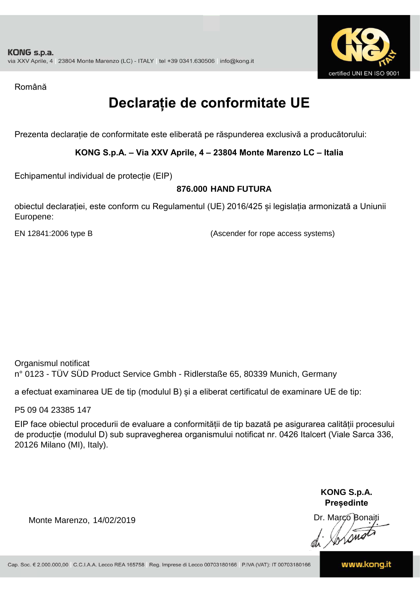

Română

# **Declarație de conformitate UE**

Prezenta declarație de conformitate este eliberată pe răspunderea exclusivă a producătorului:

## **KONG S.p.A. – Via XXV Aprile, 4 – 23804 Monte Marenzo LC – Italia**

Echipamentul individual de protecție (EIP)

#### **876.000 HAND FUTURA**

obiectul declarației, este conform cu Regulamentul (UE) 2016/425 și legislația armonizată a Uniunii Europene:

EN 12841:2006 type B (Ascender for rope access systems)

Organismul notificat n° 0123 - TÜV SÜD Product Service Gmbh - Ridlerstaße 65, 80339 Munich, Germany

a efectuat examinarea UE de tip (modulul B) și a eliberat certificatul de examinare UE de tip:

P5 09 04 23385 147

EIP face obiectul procedurii de evaluare a conformității de tip bazată pe asigurarea calității procesului de producție (modulul D) sub supravegherea organismului notificat nr. 0426 Italcert (Viale Sarca 336, 20126 Milano (MI), Italy).

> **KONG S.p.A. Președinte**

Dr. Marco Bonaiti di Arono

Monte Marenzo, 14/02/2019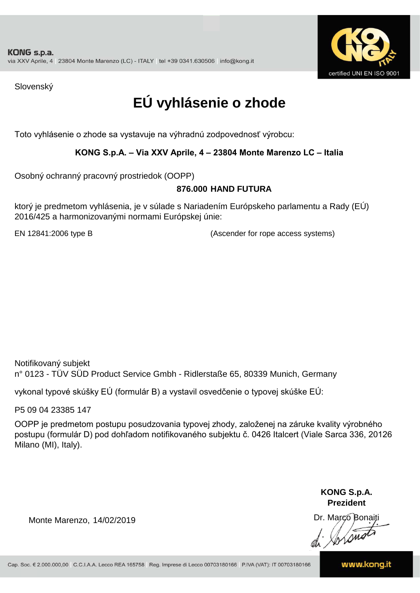

Slovenský

# **EÚ vyhlásenie o zhode**

Toto vyhlásenie o zhode sa vystavuje na výhradnú zodpovednosť výrobcu:

## **KONG S.p.A. – Via XXV Aprile, 4 – 23804 Monte Marenzo LC – Italia**

Osobný ochranný pracovný prostriedok (OOPP)

#### **HAND FUTURA 876.000**

ktorý je predmetom vyhlásenia, je v súlade s Nariadením Európskeho parlamentu a Rady (EÚ) 2016/425 a harmonizovanými normami Európskej únie:

EN 12841:2006 type B (Ascender for rope access systems)

Notifikovaný subjekt n° 0123 - TÜV SÜD Product Service Gmbh - Ridlerstaße 65, 80339 Munich, Germany

vykonal typové skúšky EÚ (formulár B) a vystavil osvedčenie o typovej skúške EÚ:

P5 09 04 23385 147

OOPP je predmetom postupu posudzovania typovej zhody, založenej na záruke kvality výrobného postupu (formulár D) pod dohľadom notifikovaného subjektu č. 0426 Italcert (Viale Sarca 336, 20126 Milano (MI), Italy).

> **KONG S.p.A. Prezident**

Dr. Marco Bonaiti di Arono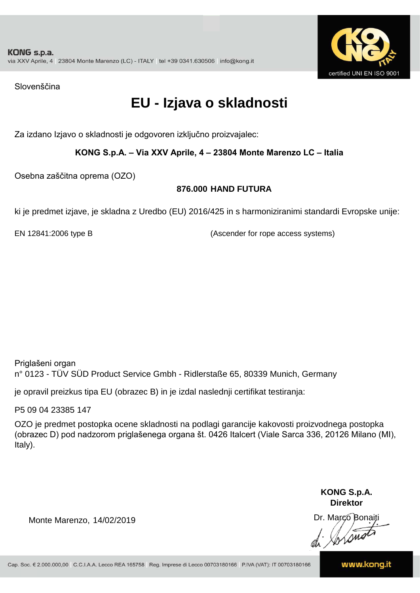

Slovenščina

# **EU - Izjava o skladnosti**

Za izdano Izjavo o skladnosti je odgovoren izključno proizvajalec:

## **KONG S.p.A. – Via XXV Aprile, 4 – 23804 Monte Marenzo LC – Italia**

Osebna zaščitna oprema (OZO)

## **876.000 HAND FUTURA**

ki je predmet izjave, je skladna z Uredbo (EU) 2016/425 in s harmoniziranimi standardi Evropske unije:

EN 12841:2006 type B (Ascender for rope access systems)

Priglašeni organ n° 0123 - TÜV SÜD Product Service Gmbh - Ridlerstaße 65, 80339 Munich, Germany

je opravil preizkus tipa EU (obrazec B) in je izdal naslednji certifikat testiranja:

P5 09 04 23385 147

OZO je predmet postopka ocene skladnosti na podlagi garancije kakovosti proizvodnega postopka (obrazec D) pod nadzorom priglašenega organa št. 0426 Italcert (Viale Sarca 336, 20126 Milano (MI), Italy).

> **KONG S.p.A. Direktor**

Dr. Marco Bonaiti di Stono

Monte Marenzo, 14/02/2019